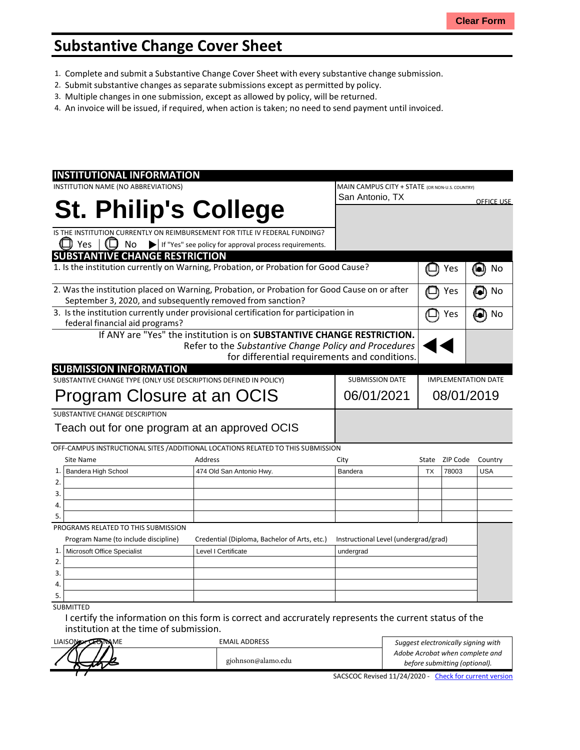## **Substantive Change Cover Sheet**

- 1. Complete and submit a Substantive Change Cover Sheet with every substantive change submission.
- 2. Submit substantive changes asseparate submissions except as permitted by policy.
- 3. Multiple changes in one submission, except as allowed by policy, will be returned.
- 4. An invoice will be issued, if required, when action is taken; no need to send payment until invoiced.

| <b>INSTITUTIONAL INFORMATION</b>                                                             |                                                                        |                                                |                                      |                            |          |                   |
|----------------------------------------------------------------------------------------------|------------------------------------------------------------------------|------------------------------------------------|--------------------------------------|----------------------------|----------|-------------------|
| INSTITUTION NAME (NO ABBREVIATIONS)                                                          |                                                                        | MAIN CAMPUS CITY + STATE (OR NON-U.S. COUNTRY) |                                      |                            |          |                   |
|                                                                                              |                                                                        | San Antonio, TX                                |                                      |                            |          | <b>OFFICE USE</b> |
| <b>St. Philip's College</b>                                                                  |                                                                        |                                                |                                      |                            |          |                   |
|                                                                                              |                                                                        |                                                |                                      |                            |          |                   |
| IS THE INSTITUTION CURRENTLY ON REIMBURSEMENT FOR TITLE IV FEDERAL FUNDING?                  |                                                                        |                                                |                                      |                            |          |                   |
| Yes<br>No                                                                                    | If "Yes" see policy for approval process requirements.                 |                                                |                                      |                            |          |                   |
| <b>SUBSTANTIVE CHANGE RESTRICTION</b>                                                        |                                                                        |                                                |                                      |                            |          |                   |
| 1. Is the institution currently on Warning, Probation, or Probation for Good Cause?          |                                                                        |                                                |                                      |                            | Yes      | 0<br>No           |
| 2. Was the institution placed on Warning, Probation, or Probation for Good Cause on or after |                                                                        |                                                |                                      |                            | Yes      | No<br>o)          |
| September 3, 2020, and subsequently removed from sanction?                                   |                                                                        |                                                |                                      |                            |          |                   |
| 3. Is the institution currently under provisional certification for participation in         |                                                                        |                                                |                                      |                            | Yes      | No                |
| federal financial aid programs?                                                              |                                                                        |                                                |                                      |                            |          |                   |
|                                                                                              | If ANY are "Yes" the institution is on SUBSTANTIVE CHANGE RESTRICTION. |                                                |                                      |                            |          |                   |
|                                                                                              | Refer to the Substantive Change Policy and Procedures                  |                                                |                                      |                            |          |                   |
|                                                                                              | for differential requirements and conditions.                          |                                                |                                      |                            |          |                   |
| <b>SUBMISSION INFORMATION</b>                                                                |                                                                        |                                                |                                      |                            |          |                   |
| SUBSTANTIVE CHANGE TYPE (ONLY USE DESCRIPTIONS DEFINED IN POLICY)                            |                                                                        |                                                | <b>SUBMISSION DATE</b>               | <b>IMPLEMENTATION DATE</b> |          |                   |
| Program Closure at an OCIS                                                                   |                                                                        |                                                | 06/01/2021                           | 08/01/2019                 |          |                   |
|                                                                                              |                                                                        |                                                |                                      |                            |          |                   |
| SUBSTANTIVE CHANGE DESCRIPTION                                                               |                                                                        |                                                |                                      |                            |          |                   |
| Teach out for one program at an approved OCIS                                                |                                                                        |                                                |                                      |                            |          |                   |
| OFF-CAMPUS INSTRUCTIONAL SITES / ADDITIONAL LOCATIONS RELATED TO THIS SUBMISSION             |                                                                        |                                                |                                      |                            |          |                   |
| Site Name                                                                                    | Address                                                                | City                                           |                                      | State                      | ZIP Code | Country           |
| <b>Bandera High School</b><br>1.                                                             | 474 Old San Antonio Hwy.                                               | Bandera                                        |                                      | <b>TX</b>                  | 78003    | <b>USA</b>        |
| 2.                                                                                           |                                                                        |                                                |                                      |                            |          |                   |
| 3.                                                                                           |                                                                        |                                                |                                      |                            |          |                   |
| 4.                                                                                           |                                                                        |                                                |                                      |                            |          |                   |
| 5.                                                                                           |                                                                        |                                                |                                      |                            |          |                   |
| PROGRAMS RELATED TO THIS SUBMISSION                                                          |                                                                        |                                                |                                      |                            |          |                   |
| Program Name (to include discipline)                                                         | Credential (Diploma, Bachelor of Arts, etc.)                           |                                                | Instructional Level (undergrad/grad) |                            |          |                   |
| Microsoft Office Specialist<br>1.                                                            | Level I Certificate                                                    |                                                | undergrad                            |                            |          |                   |
| 2.                                                                                           |                                                                        |                                                |                                      |                            |          |                   |
| 3.                                                                                           |                                                                        |                                                |                                      |                            |          |                   |
| 4.                                                                                           |                                                                        |                                                |                                      |                            |          |                   |
|                                                                                              |                                                                        |                                                |                                      |                            |          |                   |
| 5.                                                                                           |                                                                        |                                                |                                      |                            |          |                   |

I certify the information on this form is correct and accrurately represents the current status of the institution at the time of submission.

| LIAISON <sub>22</sub> LONMME | <b>EMAIL ADDRESS</b> | Suggest electronically signing with                    |
|------------------------------|----------------------|--------------------------------------------------------|
|                              |                      | Adobe Acrobat when complete and                        |
|                              | gjohnson@alamo.edu   | before submitting (optional).                          |
|                              |                      | SACSCOC Revised 11/24/2020 - Check for current version |

SACSCOC Revised 11/24/2020 - Check for current version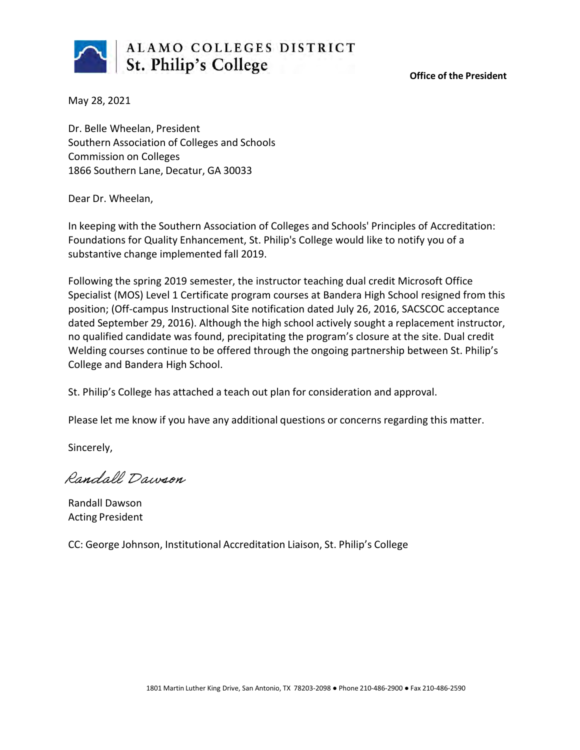

**Office of the President**

May 28, 2021

Dr. Belle Wheelan, President Southern Association of Colleges and Schools Commission on Colleges 1866 Southern Lane, Decatur, GA 30033

Dear Dr. Wheelan,

In keeping with the Southern Association of Colleges and Schools' Principles of Accreditation: Foundations for Quality Enhancement, St. Philip's College would like to notify you of a substantive change implemented fall 2019.

Following the spring 2019 semester, the instructor teaching dual credit Microsoft Office Specialist (MOS) Level 1 Certificate program courses at Bandera High School resigned from this position; (Off-campus Instructional Site notification dated July 26, 2016, SACSCOC acceptance dated September 29, 2016). Although the high school actively sought a replacement instructor, no qualified candidate was found, precipitating the program's closure at the site. Dual credit Welding courses continue to be offered through the ongoing partnership between St. Philip's College and Bandera High School.

St. Philip's College has attached a teach out plan for consideration and approval.

Please let me know if you have any additional questions or concerns regarding this matter.

Sincerely,

Randall Dawson

Randall Dawson Acting President

CC: George Johnson, Institutional Accreditation Liaison, St. Philip's College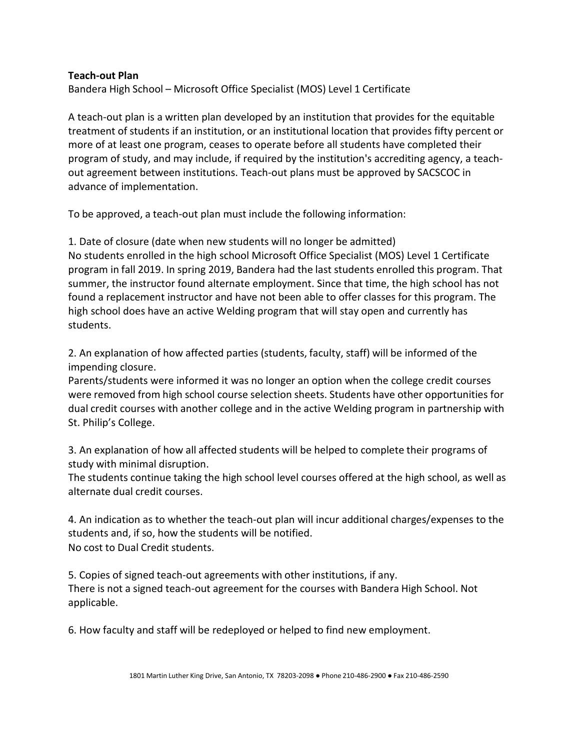## **Teach-out Plan**

Bandera High School – Microsoft Office Specialist (MOS) Level 1 Certificate

A teach-out plan is a written plan developed by an institution that provides for the equitable treatment of students if an institution, or an institutional location that provides fifty percent or more of at least one program, ceases to operate before all students have completed their program of study, and may include, if required by the institution's accrediting agency, a teachout agreement between institutions. Teach-out plans must be approved by SACSCOC in advance of implementation.

To be approved, a teach-out plan must include the following information:

1. Date of closure (date when new students will no longer be admitted) No students enrolled in the high school Microsoft Office Specialist (MOS) Level 1 Certificate program in fall 2019. In spring 2019, Bandera had the last students enrolled this program. That summer, the instructor found alternate employment. Since that time, the high school has not found a replacement instructor and have not been able to offer classes for this program. The high school does have an active Welding program that will stay open and currently has students.

2. An explanation of how affected parties (students, faculty, staff) will be informed of the impending closure.

Parents/students were informed it was no longer an option when the college credit courses were removed from high school course selection sheets. Students have other opportunities for dual credit courses with another college and in the active Welding program in partnership with St. Philip's College.

3. An explanation of how all affected students will be helped to complete their programs of study with minimal disruption.

The students continue taking the high school level courses offered at the high school, as well as alternate dual credit courses.

4. An indication as to whether the teach-out plan will incur additional charges/expenses to the students and, if so, how the students will be notified. No cost to Dual Credit students.

5. Copies of signed teach-out agreements with other institutions, if any. There is not a signed teach-out agreement for the courses with Bandera High School. Not applicable.

6. How faculty and staff will be redeployed or helped to find new employment.